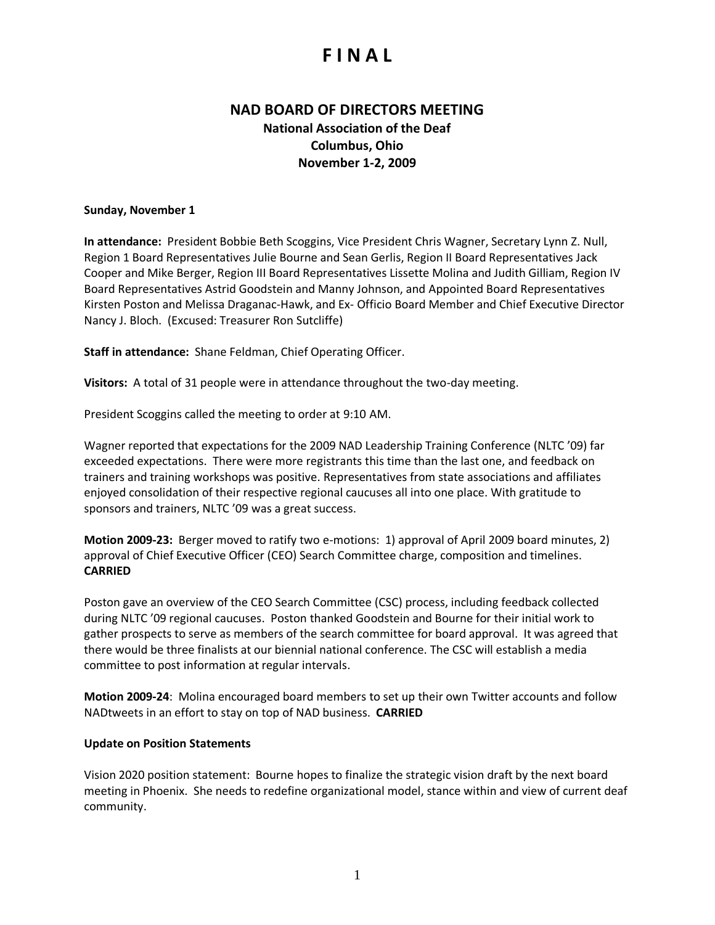# **F I N A L**

## **NAD BOARD OF DIRECTORS MEETING National Association of the Deaf Columbus, Ohio November 1-2, 2009**

#### **Sunday, November 1**

**In attendance:** President Bobbie Beth Scoggins, Vice President Chris Wagner, Secretary Lynn Z. Null, Region 1 Board Representatives Julie Bourne and Sean Gerlis, Region II Board Representatives Jack Cooper and Mike Berger, Region III Board Representatives Lissette Molina and Judith Gilliam, Region IV Board Representatives Astrid Goodstein and Manny Johnson, and Appointed Board Representatives Kirsten Poston and Melissa Draganac-Hawk, and Ex- Officio Board Member and Chief Executive Director Nancy J. Bloch. (Excused: Treasurer Ron Sutcliffe)

**Staff in attendance:** Shane Feldman, Chief Operating Officer.

**Visitors:** A total of 31 people were in attendance throughout the two-day meeting.

President Scoggins called the meeting to order at 9:10 AM.

Wagner reported that expectations for the 2009 NAD Leadership Training Conference (NLTC '09) far exceeded expectations. There were more registrants this time than the last one, and feedback on trainers and training workshops was positive. Representatives from state associations and affiliates enjoyed consolidation of their respective regional caucuses all into one place. With gratitude to sponsors and trainers, NLTC '09 was a great success.

**Motion 2009-23:** Berger moved to ratify two e-motions: 1) approval of April 2009 board minutes, 2) approval of Chief Executive Officer (CEO) Search Committee charge, composition and timelines. **CARRIED**

Poston gave an overview of the CEO Search Committee (CSC) process, including feedback collected during NLTC '09 regional caucuses. Poston thanked Goodstein and Bourne for their initial work to gather prospects to serve as members of the search committee for board approval. It was agreed that there would be three finalists at our biennial national conference. The CSC will establish a media committee to post information at regular intervals.

**Motion 2009-24**: Molina encouraged board members to set up their own Twitter accounts and follow NADtweets in an effort to stay on top of NAD business. **CARRIED**

#### **Update on Position Statements**

Vision 2020 position statement: Bourne hopes to finalize the strategic vision draft by the next board meeting in Phoenix. She needs to redefine organizational model, stance within and view of current deaf community.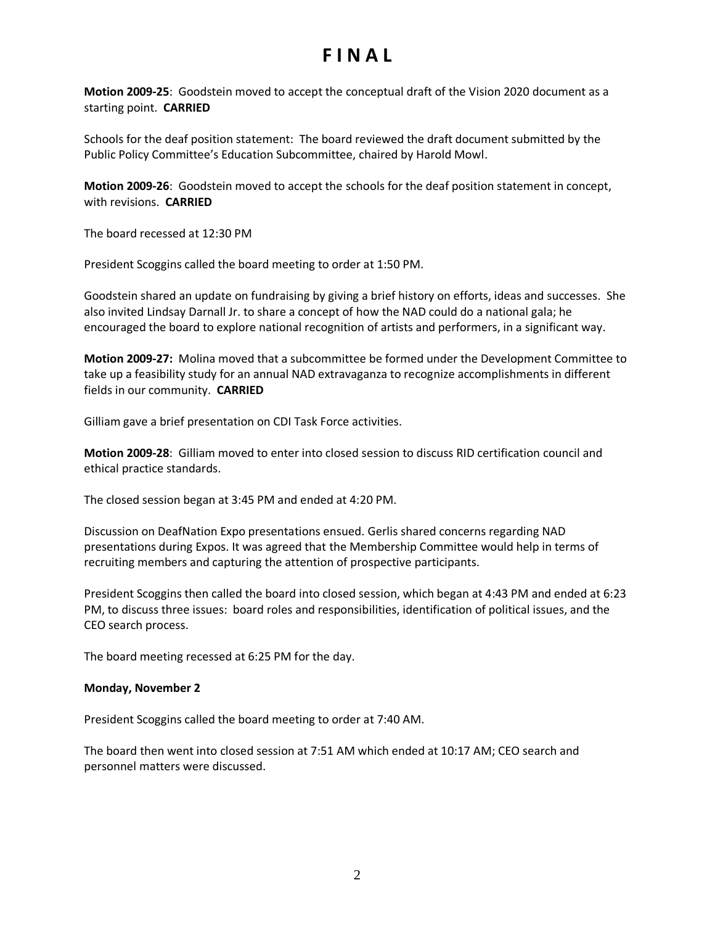# **F I N A L**

**Motion 2009-25**: Goodstein moved to accept the conceptual draft of the Vision 2020 document as a starting point. **CARRIED**

Schools for the deaf position statement: The board reviewed the draft document submitted by the Public Policy Committee's Education Subcommittee, chaired by Harold Mowl.

**Motion 2009-26**: Goodstein moved to accept the schools for the deaf position statement in concept, with revisions. **CARRIED**

The board recessed at 12:30 PM

President Scoggins called the board meeting to order at 1:50 PM.

Goodstein shared an update on fundraising by giving a brief history on efforts, ideas and successes. She also invited Lindsay Darnall Jr. to share a concept of how the NAD could do a national gala; he encouraged the board to explore national recognition of artists and performers, in a significant way.

**Motion 2009-27:** Molina moved that a subcommittee be formed under the Development Committee to take up a feasibility study for an annual NAD extravaganza to recognize accomplishments in different fields in our community. **CARRIED**

Gilliam gave a brief presentation on CDI Task Force activities.

**Motion 2009-28**: Gilliam moved to enter into closed session to discuss RID certification council and ethical practice standards.

The closed session began at 3:45 PM and ended at 4:20 PM.

Discussion on DeafNation Expo presentations ensued. Gerlis shared concerns regarding NAD presentations during Expos. It was agreed that the Membership Committee would help in terms of recruiting members and capturing the attention of prospective participants.

President Scoggins then called the board into closed session, which began at 4:43 PM and ended at 6:23 PM, to discuss three issues: board roles and responsibilities, identification of political issues, and the CEO search process.

The board meeting recessed at 6:25 PM for the day.

#### **Monday, November 2**

President Scoggins called the board meeting to order at 7:40 AM.

The board then went into closed session at 7:51 AM which ended at 10:17 AM; CEO search and personnel matters were discussed.